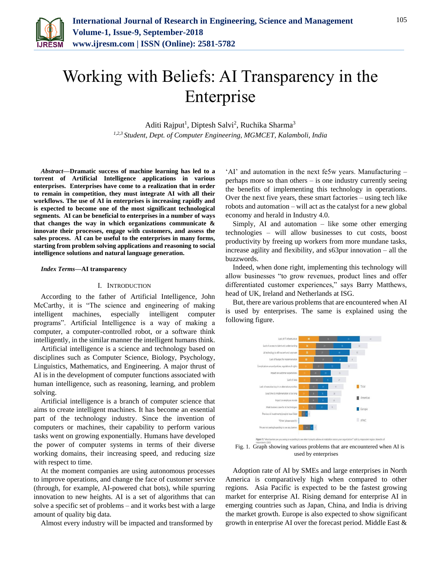

# Working with Beliefs: AI Transparency in the Enterprise

Aditi Rajput<sup>1</sup>, Diptesh Salvi<sup>2</sup>, Ruchika Sharma<sup>3</sup> *1,2,3 Student, Dept. of Computer Engineering, MGMCET, Kalamboli, India*

*Abstract***—Dramatic success of machine learning has led to a torrent of Artificial Intelligence applications in various enterprises. Enterprises have come to a realization that in order to remain in competition, they must integrate AI with all their workflows. The use of AI in enterprises is increasing rapidly and is expected to become one of the most significant technological segments. AI can be beneficial to enterprises in a number of ways that changes the way in which organizations communicate & innovate their processes, engage with customers, and assess the sales process. AI can be useful to the enterprises in many forms, starting from problem solving applications and reasoning to social intelligence solutions and natural language generation.**

#### *Index Terms***—AI transparency**

# I. INTRODUCTION

According to the father of Artificial Intelligence, John McCarthy, it is "The science and engineering of making intelligent machines, especially intelligent computer programs". Artificial Intelligence is a way of making a computer, a computer-controlled robot, or a software think intelligently, in the similar manner the intelligent humans think.

Artificial intelligence is a science and technology based on disciplines such as Computer Science, Biology, Psychology, Linguistics, Mathematics, and Engineering. A major thrust of AI is in the development of computer functions associated with human intelligence, such as reasoning, learning, and problem solving.

Artificial intelligence is a branch of computer science that aims to create intelligent machines. It has become an essential part of the technology industry. Since the invention of computers or machines, their capability to perform various tasks went on growing exponentially. Humans have developed the power of computer systems in terms of their diverse working domains, their increasing speed, and reducing size with respect to time.

At the moment companies are using autonomous processes to improve operations, and change the face of customer service (through, for example, AI-powered chat bots), while spurring innovation to new heights. AI is a set of algorithms that can solve a specific set of problems – and it works best with a large amount of quality big data.

Almost every industry will be impacted and transformed by

'AI' and automation in the next fe5w years. Manufacturing – perhaps more so than others – is one industry currently seeing the benefits of implementing this technology in operations. Over the next five years, these smart factories – using tech like robots and automation – will act as the catalyst for a new global economy and herald in Industry 4.0.

Simply, AI and automation – like some other emerging technologies – will allow businesses to cut costs, boost productivity by freeing up workers from more mundane tasks, increase agility and flexibility, and s63pur innovation – all the buzzwords.

Indeed, when done right, implementing this technology will allow businesses "to grow revenues, product lines and offer differentiated customer experiences," says Barry Matthews, head of UK, Ireland and Netherlands at ISG.

But, there are various problems that are encountered when AI is used by enterprises. The same is explained using the following figure.



used by enterprises

Adoption rate of AI by SMEs and large enterprises in North America is comparatively high when compared to other regions. Asia Pacific is expected to be the fastest growing market for enterprise AI. Rising demand for enterprise AI in emerging countries such as Japan, China, and India is driving the market growth. Europe is also expected to show significant growth in enterprise AI over the forecast period. Middle East &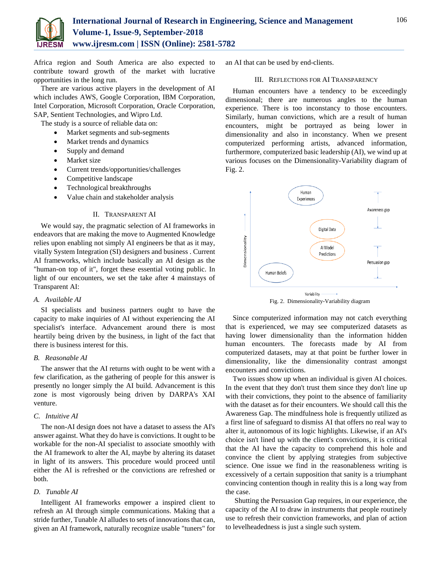

Africa region and South America are also expected to contribute toward growth of the market with lucrative opportunities in the long run.

There are various active players in the development of AI which includes AWS, Google Corporation, IBM Corporation, Intel Corporation, Microsoft Corporation, Oracle Corporation, SAP, Sentient Technologies, and Wipro Ltd.

The study is a source of reliable data on:

- Market segments and sub-segments
- Market trends and dynamics
- Supply and demand
- Market size
- Current trends/opportunities/challenges
- Competitive landscape
- Technological breakthroughs
- Value chain and stakeholder analysis

## II. TRANSPARENT AI

We would say, the pragmatic selection of AI frameworks in endeavors that are making the move to Augmented Knowledge relies upon enabling not simply AI engineers be that as it may, vitally System Integration (SI) designers and business . Current AI frameworks, which include basically an AI design as the "human-on top of it", forget these essential voting public. In light of our encounters, we set the take after 4 mainstays of Transparent AI:

#### *A. Available AI*

SI specialists and business partners ought to have the capacity to make inquiries of AI without experiencing the AI specialist's interface. Advancement around there is most heartily being driven by the business, in light of the fact that there is business interest for this.

# *B. Reasonable AI*

The answer that the AI returns with ought to be went with a few clarification, as the gathering of people for this answer is presently no longer simply the AI build. Advancement is this zone is most vigorously being driven by DARPA's XAI venture.

# *C. Intuitive AI*

The non-AI design does not have a dataset to assess the AI's answer against. What they do have is convictions. It ought to be workable for the non-AI specialist to associate smoothly with the AI framework to alter the AI, maybe by altering its dataset in light of its answers. This procedure would proceed until either the AI is refreshed or the convictions are refreshed or both.

## *D. Tunable AI*

Intelligent AI frameworks empower a inspired client to refresh an AI through simple communications. Making that a stride further, Tunable AI alludes to sets of innovations that can, given an AI framework, naturally recognize usable "tuners" for

an AI that can be used by end-clients.

## III. REFLECTIONS FOR AI TRANSPARENCY

Human encounters have a tendency to be exceedingly dimensional; there are numerous angles to the human experience. There is too inconstancy to those encounters. Similarly, human convictions, which are a result of human encounters, might be portrayed as being lower in dimensionality and also in inconstancy. When we present computerized performing artists, advanced information, furthermore, computerized basic leadership (AI), we wind up at various focuses on the Dimensionality-Variability diagram of Fig. 2.



Since computerized information may not catch everything that is experienced, we may see computerized datasets as having lower dimensionality than the information hidden human encounters. The forecasts made by AI from computerized datasets, may at that point be further lower in dimensionality, like the dimensionality contrast amongst encounters and convictions.

Two issues show up when an individual is given AI choices. In the event that they don't trust them since they don't line up with their convictions, they point to the absence of familiarity with the dataset as for their encounters. We should call this the Awareness Gap. The mindfulness hole is frequently utilized as a first line of safeguard to dismiss AI that offers no real way to alter it, autonomous of its logic highlights. Likewise, if an AI's choice isn't lined up with the client's convictions, it is critical that the AI have the capacity to comprehend this hole and convince the client by applying strategies from subjective science. One issue we find in the reasonableness writing is excessively of a certain supposition that sanity is a triumphant convincing contention though in reality this is a long way from the case.

Shutting the Persuasion Gap requires, in our experience, the capacity of the AI to draw in instruments that people routinely use to refresh their conviction frameworks, and plan of action to levelheadedness is just a single such system.